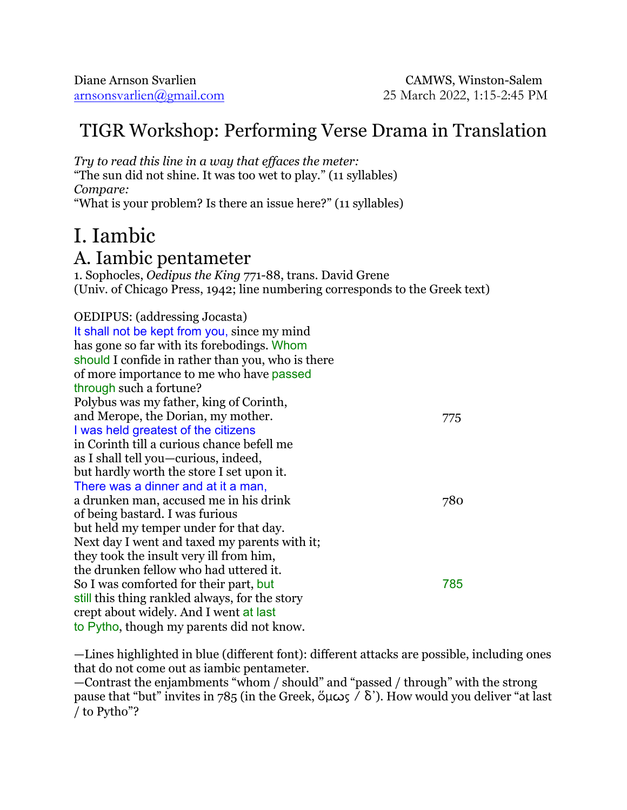# TIGR Workshop: Performing Verse Drama in Translation

*Try to read this line in a way that effaces the meter:* "The sun did not shine. It was too wet to play." (11 syllables) *Compare:* "What is your problem? Is there an issue here?" (11 syllables)

# I. Iambic A. Iambic pentameter

1. Sophocles, *Oedipus the King* 771-88, trans. David Grene (Univ. of Chicago Press, 1942; line numbering corresponds to the Greek text)

OEDIPUS: (addressing Jocasta) It shall not be kept from you, since my mind has gone so far with its forebodings. Whom should I confide in rather than you, who is there of more importance to me who have passed through such a fortune? Polybus was my father, king of Corinth, and Merope, the Dorian, my mother. 775 I was held greatest of the citizens in Corinth till a curious chance befell me as I shall tell you—curious, indeed, but hardly worth the store I set upon it. There was a dinner and at it a man, a drunken man, accused me in his drink 780 of being bastard. I was furious but held my temper under for that day. Next day I went and taxed my parents with it; they took the insult very ill from him, the drunken fellow who had uttered it. So I was comforted for their part, but 785 still this thing rankled always, for the story crept about widely. And I went at last to Pytho, though my parents did not know.

—Lines highlighted in blue (different font): different attacks are possible, including ones that do not come out as iambic pentameter.

—Contrast the enjambments "whom / should" and "passed / through" with the strong pause that "but" invites in 785 (in the Greek, όμως / δ'). How would you deliver "at last / to Pytho"?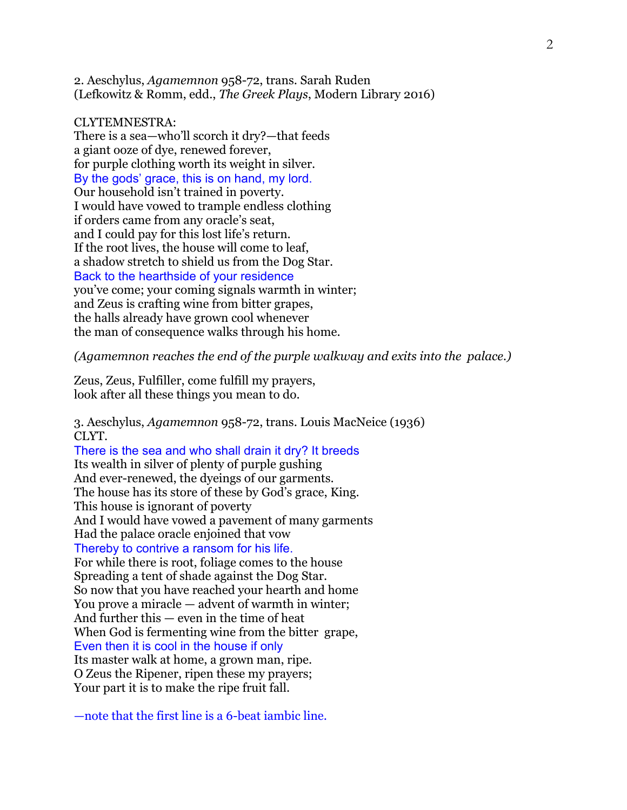2. Aeschylus, *Agamemnon* 958-72, trans. Sarah Ruden (Lefkowitz & Romm, edd., *The Greek Plays*, Modern Library 2016)

#### CLYTEMNESTRA:

There is a sea—who'll scorch it dry?—that feeds a giant ooze of dye, renewed forever, for purple clothing worth its weight in silver. By the gods' grace, this is on hand, my lord. Our household isn't trained in poverty. I would have vowed to trample endless clothing if orders came from any oracle's seat, and I could pay for this lost life's return. If the root lives, the house will come to leaf, a shadow stretch to shield us from the Dog Star. Back to the hearthside of your residence you've come; your coming signals warmth in winter; and Zeus is crafting wine from bitter grapes, the halls already have grown cool whenever the man of consequence walks through his home.

*(Agamemnon reaches the end of the purple walkway and exits into the palace.)* 

Zeus, Zeus, Fulfiller, come fulfill my prayers, look after all these things you mean to do.

3. Aeschylus, *Agamemnon* 958-72, trans. Louis MacNeice (1936) CLYT.

There is the sea and who shall drain it dry? It breeds Its wealth in silver of plenty of purple gushing And ever-renewed, the dyeings of our garments. The house has its store of these by God's grace, King. This house is ignorant of poverty And I would have vowed a pavement of many garments Had the palace oracle enjoined that vow Thereby to contrive a ransom for his life. For while there is root, foliage comes to the house Spreading a tent of shade against the Dog Star. So now that you have reached your hearth and home You prove a miracle — advent of warmth in winter; And further this — even in the time of heat When God is fermenting wine from the bitter grape, Even then it is cool in the house if only Its master walk at home, a grown man, ripe. O Zeus the Ripener, ripen these my prayers; Your part it is to make the ripe fruit fall.

—note that the first line is a 6-beat iambic line.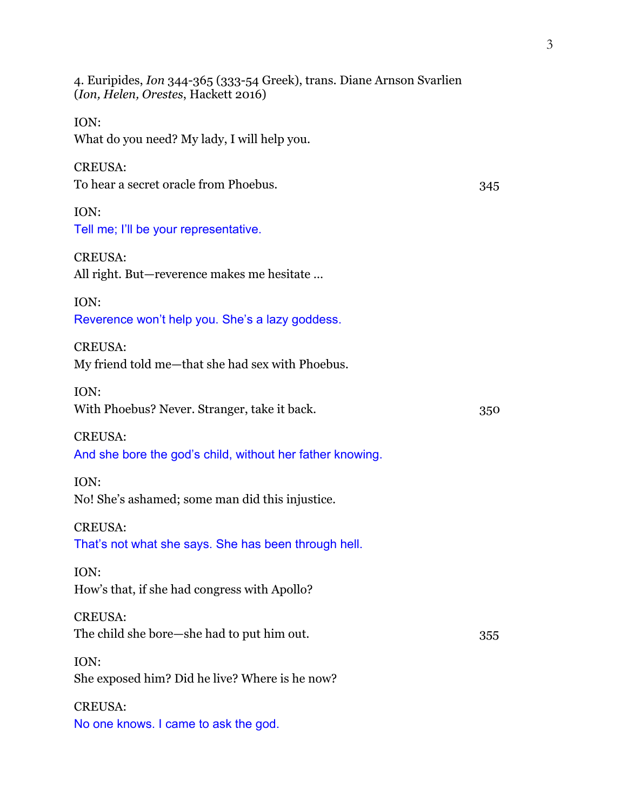| 4. Euripides, Ion 344-365 (333-54 Greek), trans. Diane Arnson Svarlien<br>(Ion, Helen, Orestes, Hackett 2016) |     |
|---------------------------------------------------------------------------------------------------------------|-----|
| ION:<br>What do you need? My lady, I will help you.                                                           |     |
| <b>CREUSA:</b><br>To hear a secret oracle from Phoebus.                                                       | 345 |
| ION:<br>Tell me; I'll be your representative.                                                                 |     |
| <b>CREUSA:</b><br>All right. But—reverence makes me hesitate                                                  |     |
| ION:<br>Reverence won't help you. She's a lazy goddess.                                                       |     |
| <b>CREUSA:</b><br>My friend told me-that she had sex with Phoebus.                                            |     |
| ION:<br>With Phoebus? Never. Stranger, take it back.                                                          | 350 |
| <b>CREUSA:</b><br>And she bore the god's child, without her father knowing.                                   |     |
| ION:<br>No! She's ashamed; some man did this injustice.                                                       |     |
| <b>CREUSA:</b><br>That's not what she says. She has been through hell.                                        |     |
| ION:<br>How's that, if she had congress with Apollo?                                                          |     |
| <b>CREUSA:</b><br>The child she bore—she had to put him out.                                                  | 355 |
| ION:<br>She exposed him? Did he live? Where is he now?                                                        |     |
| <b>CREUSA:</b><br>No one knows. I came to ask the god.                                                        |     |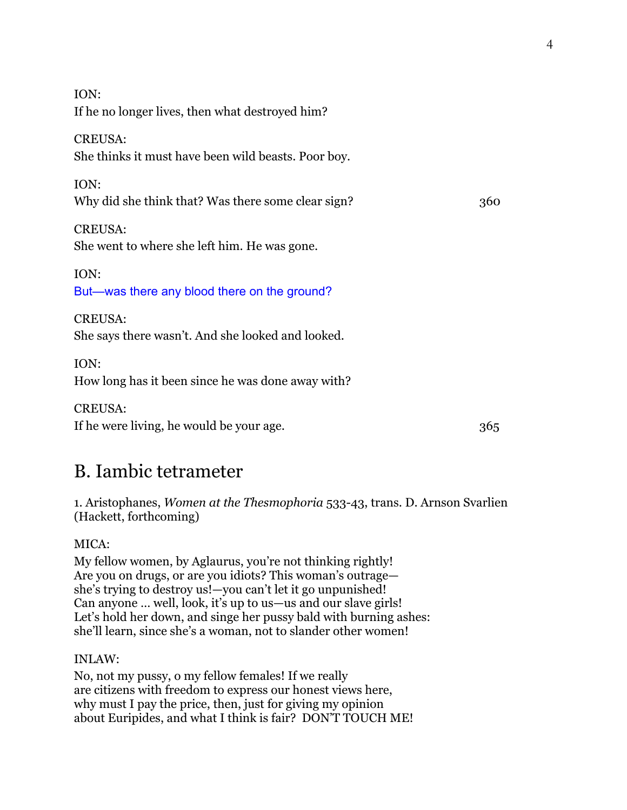ION: If he no longer lives, then what destroyed him?

CREUSA:

She thinks it must have been wild beasts. Poor boy.

ION: Why did she think that? Was there some clear sign? 360

CREUSA: She went to where she left him. He was gone.

ION: But—was there any blood there on the ground?

CREUSA:

She says there wasn't. And she looked and looked.

ION: How long has it been since he was done away with?

CREUSA: If he were living, he would be your age.  $365$ 

# B. Iambic tetrameter

1. Aristophanes, *Women at the Thesmophoria* 533-43, trans. D. Arnson Svarlien (Hackett, forthcoming)

### MICA:

My fellow women, by Aglaurus, you're not thinking rightly! Are you on drugs, or are you idiots? This woman's outrage she's trying to destroy us!—you can't let it go unpunished! Can anyone … well, look, it's up to us—us and our slave girls! Let's hold her down, and singe her pussy bald with burning ashes: she'll learn, since she's a woman, not to slander other women!

### INLAW:

No, not my pussy, o my fellow females! If we really are citizens with freedom to express our honest views here, why must I pay the price, then, just for giving my opinion about Euripides, and what I think is fair? DON'T TOUCH ME!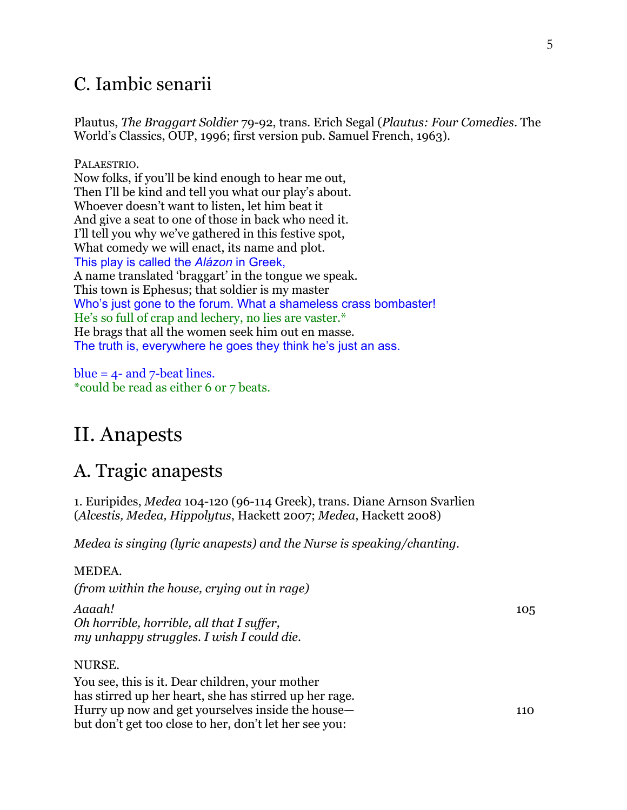# C. Iambic senarii

Plautus, *The Braggart Soldier* 79-92, trans. Erich Segal (*Plautus: Four Comedies*. The World's Classics, OUP, 1996; first version pub. Samuel French, 1963).

#### PALAESTRIO.

Now folks, if you'll be kind enough to hear me out, Then I'll be kind and tell you what our play's about. Whoever doesn't want to listen, let him beat it And give a seat to one of those in back who need it. I'll tell you why we've gathered in this festive spot, What comedy we will enact, its name and plot. This play is called the *Alázon* in Greek, A name translated 'braggart' in the tongue we speak. This town is Ephesus; that soldier is my master Who's just gone to the forum. What a shameless crass bombaster! He's so full of crap and lechery, no lies are vaster.\* He brags that all the women seek him out en masse. The truth is, everywhere he goes they think he's just an ass.

blue  $=$  4- and  $\bar{z}$ -beat lines. \*could be read as either 6 or 7 beats.

## II. Anapests

## A. Tragic anapests

1. Euripides, *Medea* 104-120 (96-114 Greek), trans. Diane Arnson Svarlien (*Alcestis, Medea, Hippolytus*, Hackett 2007; *Medea*, Hackett 2008)

*Medea is singing (lyric anapests) and the Nurse is speaking/chanting.*

#### MEDEA.

*(from within the house, crying out in rage)*

*Aaaah!* 105 *Oh horrible, horrible, all that I suffer, my unhappy struggles. I wish I could die.*

#### NURSE.

You see, this is it. Dear children, your mother has stirred up her heart, she has stirred up her rage. Hurry up now and get yourselves inside the house— 110 but don't get too close to her, don't let her see you: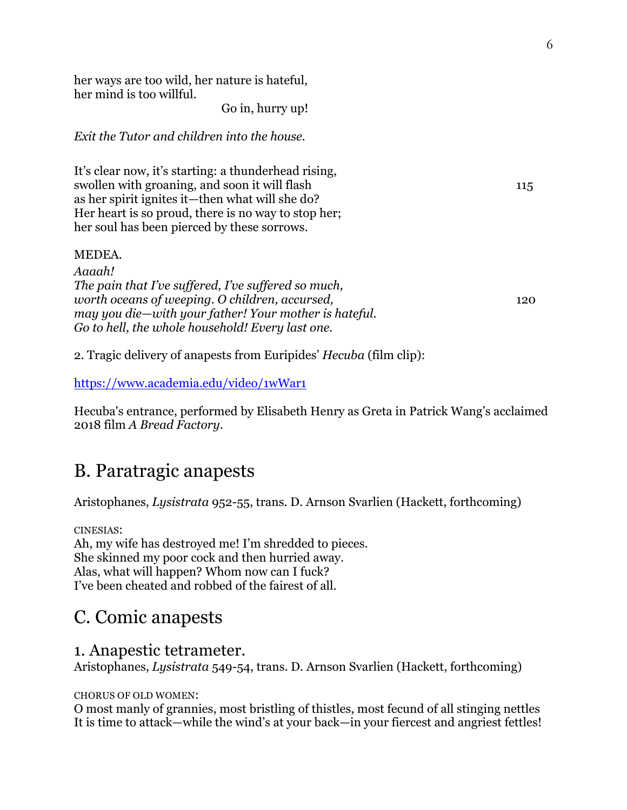her ways are too wild, her nature is hateful, her mind is too willful.

Go in, hurry up!

*Exit the Tutor and children into the house.*

It's clear now, it's starting: a thunderhead rising, swollen with groaning, and soon it will flash 115 as her spirit ignites it—then what will she do? Her heart is so proud, there is no way to stop her; her soul has been pierced by these sorrows.

#### MEDEA.

*Aaaah! The pain that I've suffered, I've suffered so much, worth oceans of weeping. O children, accursed,* 120 *may you die—with your father! Your mother is hateful. Go to hell, the whole household! Every last one.*

2. Tragic delivery of anapests from Euripides' *Hecuba* (film clip):

https://www.academia.edu/video/1wWar1

Hecuba's entrance, performed by Elisabeth Henry as Greta in Patrick Wang's acclaimed 2018 film *A Bread Factory*.

## B. Paratragic anapests

Aristophanes, *Lysistrata* 952-55, trans. D. Arnson Svarlien (Hackett, forthcoming)

CINESIAS: Ah, my wife has destroyed me! I'm shredded to pieces. She skinned my poor cock and then hurried away. Alas, what will happen? Whom now can I fuck? I've been cheated and robbed of the fairest of all.

# C. Comic anapests

## 1. Anapestic tetrameter.

Aristophanes, *Lysistrata* 549-54, trans. D. Arnson Svarlien (Hackett, forthcoming)

CHORUS OF OLD WOMEN:

O most manly of grannies, most bristling of thistles, most fecund of all stinging nettles It is time to attack—while the wind's at your back—in your fiercest and angriest fettles!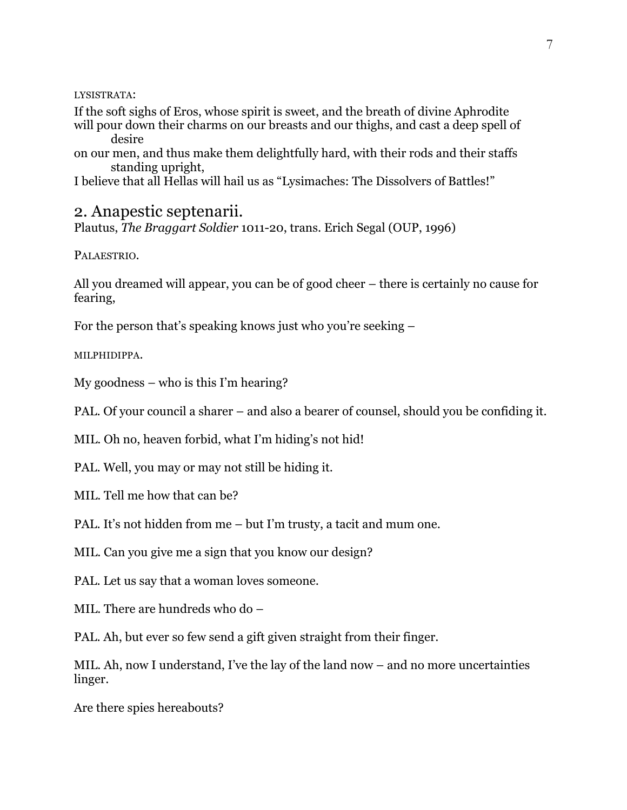LYSISTRATA:

If the soft sighs of Eros, whose spirit is sweet, and the breath of divine Aphrodite will pour down their charms on our breasts and our thighs, and cast a deep spell of desire

on our men, and thus make them delightfully hard, with their rods and their staffs standing upright,

I believe that all Hellas will hail us as "Lysimaches: The Dissolvers of Battles!"

## 2. Anapestic septenarii.

Plautus, *The Braggart Soldier* 1011-20, trans. Erich Segal (OUP, 1996)

PALAESTRIO.

All you dreamed will appear, you can be of good cheer – there is certainly no cause for fearing,

For the person that's speaking knows just who you're seeking –

MILPHIDIPPA.

My goodness – who is this I'm hearing?

PAL. Of your council a sharer – and also a bearer of counsel, should you be confiding it.

MIL. Oh no, heaven forbid, what I'm hiding's not hid!

PAL. Well, you may or may not still be hiding it.

MIL. Tell me how that can be?

PAL. It's not hidden from me – but I'm trusty, a tacit and mum one.

MIL. Can you give me a sign that you know our design?

PAL. Let us say that a woman loves someone.

MIL. There are hundreds who do –

PAL. Ah, but ever so few send a gift given straight from their finger.

MIL. Ah, now I understand, I've the lay of the land now – and no more uncertainties linger.

Are there spies hereabouts?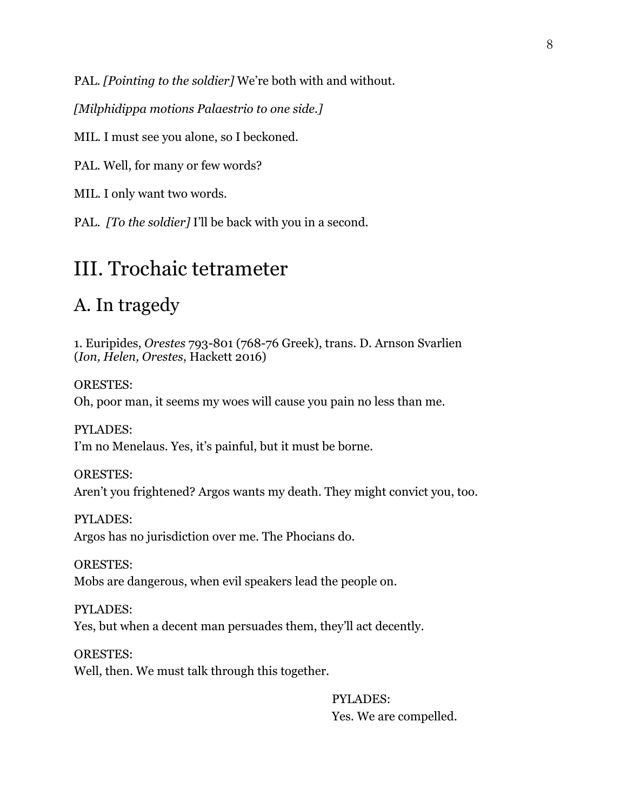PAL. *[Pointing to the soldier]* We're both with and without.

*[Milphidippa motions Palaestrio to one side.]* 

MIL. I must see you alone, so I beckoned.

PAL. Well, for many or few words?

MIL. I only want two words.

PAL. *[To the soldier]* I'll be back with you in a second.

# III. Trochaic tetrameter

# A. In tragedy

1. Euripides, *Orestes* 793-801 (768-76 Greek), trans. D. Arnson Svarlien (*Ion, Helen, Orestes*, Hackett 2016)

### ORESTES:

Oh, poor man, it seems my woes will cause you pain no less than me.

PYLADES:

I'm no Menelaus. Yes, it's painful, but it must be borne.

ORESTES: Aren't you frightened? Argos wants my death. They might convict you, too.

PYLADES: Argos has no jurisdiction over me. The Phocians do.

ORESTES: Mobs are dangerous, when evil speakers lead the people on.

PYLADES: Yes, but when a decent man persuades them, they'll act decently.

ORESTES: Well, then. We must talk through this together.

> PYLADES: Yes. We are compelled.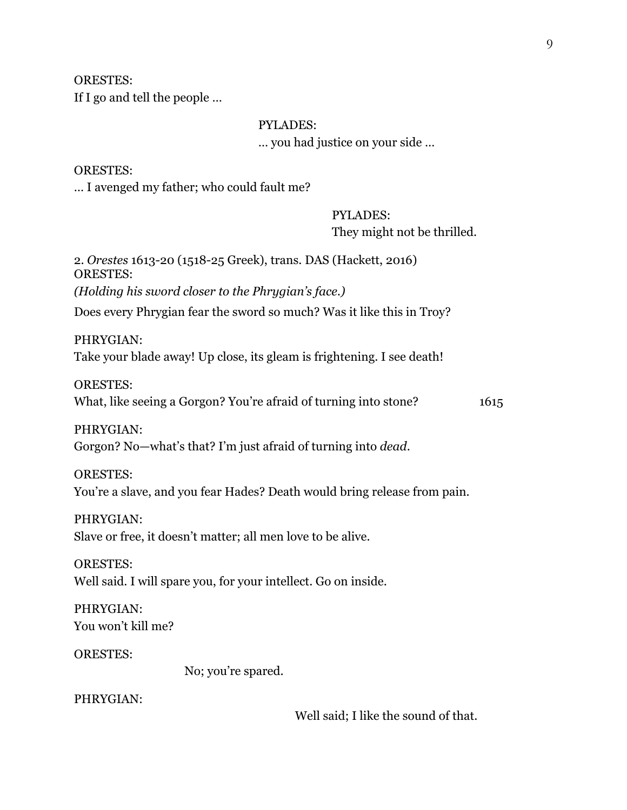ORESTES: If I go and tell the people …

#### PYLADES:

… you had justice on your side …

#### ORESTES:

… I avenged my father; who could fault me?

## PYLADES:

They might not be thrilled.

2. *Orestes* 1613-20 (1518-25 Greek), trans. DAS (Hackett, 2016) ORESTES: *(Holding his sword closer to the Phrygian's face.)* Does every Phrygian fear the sword so much? Was it like this in Troy? PHRYGIAN: Take your blade away! Up close, its gleam is frightening. I see death! ORESTES: What, like seeing a Gorgon? You're afraid of turning into stone? 1615 PHRYGIAN: Gorgon? No—what's that? I'm just afraid of turning into *dead*. ORESTES: You're a slave, and you fear Hades? Death would bring release from pain. PHRYGIAN: Slave or free, it doesn't matter; all men love to be alive. ORESTES: Well said. I will spare you, for your intellect. Go on inside. PHRYGIAN: You won't kill me? ORESTES: No; you're spared.

PHRYGIAN:

Well said; I like the sound of that.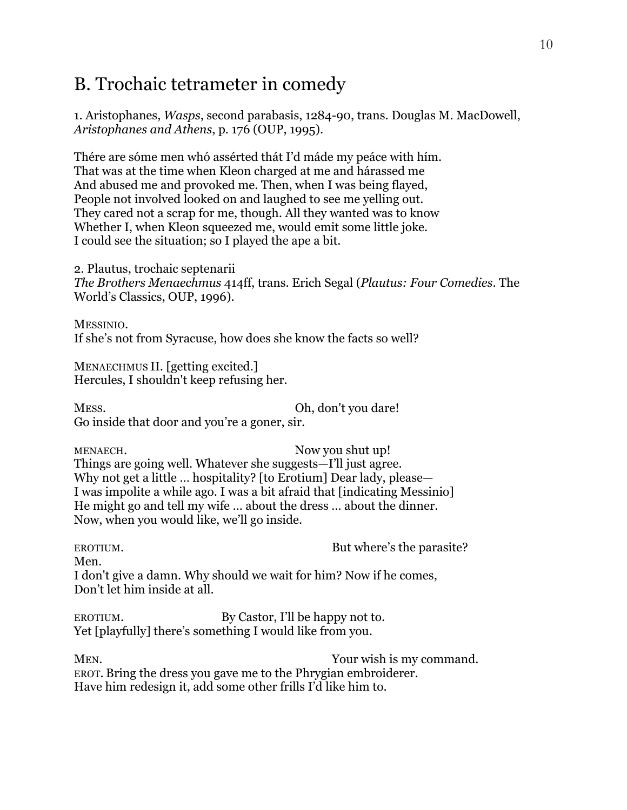## B. Trochaic tetrameter in comedy

1. Aristophanes, *Wasps*, second parabasis, 1284-90, trans. Douglas M. MacDowell, *Aristophanes and Athens*, p. 176 (OUP, 1995).

Thére are sóme men whó assérted thát I'd máde my peáce with hím. That was at the time when Kleon charged at me and hárassed me And abused me and provoked me. Then, when I was being flayed, People not involved looked on and laughed to see me yelling out. They cared not a scrap for me, though. All they wanted was to know Whether I, when Kleon squeezed me, would emit some little joke. I could see the situation; so I played the ape a bit.

2. Plautus, trochaic septenarii *The Brothers Menaechmus* 414ff, trans. Erich Segal (*Plautus: Four Comedies*. The World's Classics, OUP, 1996).

MESSINIO. If she's not from Syracuse, how does she know the facts so well?

MENAECHMUS II. [getting excited.] Hercules, I shouldn't keep refusing her.

MESS. Oh, don't you dare! Go inside that door and you're a goner, sir.

MENAECH. Now you shut up! Things are going well. Whatever she suggests—I'll just agree. Why not get a little ... hospitality? [to Erotium] Dear lady, please— I was impolite a while ago. I was a bit afraid that [indicating Messinio] He might go and tell my wife … about the dress … about the dinner. Now, when you would like, we'll go inside.

EROTIUM. But where's the parasite?

Men.

I don't give a damn. Why should we wait for him? Now if he comes, Don't let him inside at all.

EROTIUM. By Castor, I'll be happy not to. Yet [playfully] there's something I would like from you.

MEN. Your wish is my command. EROT. Bring the dress you gave me to the Phrygian embroiderer. Have him redesign it, add some other frills I'd like him to.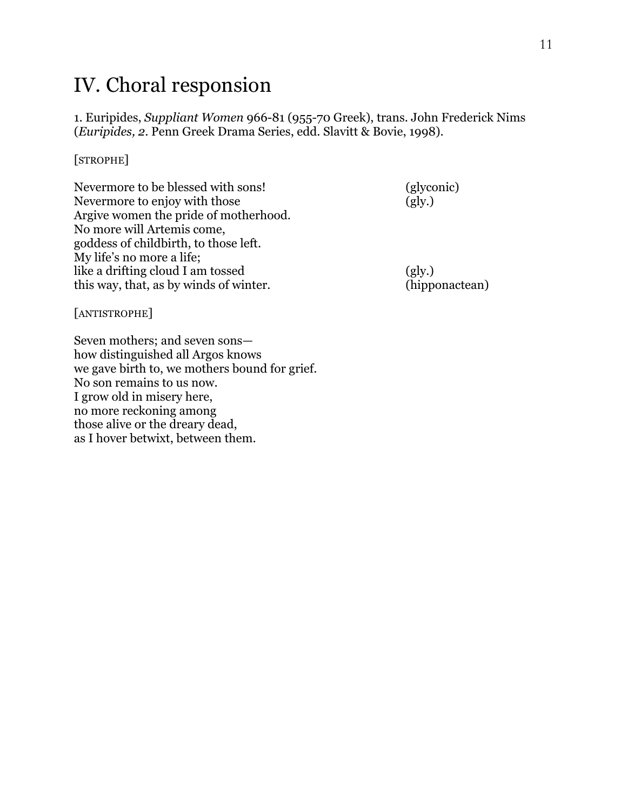# IV. Choral responsion

1. Euripides, *Suppliant Women* 966-81 (955-70 Greek), trans. John Frederick Nims (*Euripides, 2*. Penn Greek Drama Series, edd. Slavitt & Bovie, 1998).

### [STROPHE]

Nevermore to be blessed with sons! (glyconic) Nevermore to enjoy with those (gly.) Argive women the pride of motherhood. No more will Artemis come, goddess of childbirth, to those left. My life's no more a life;  $like$  a drifting cloud I am tossed  $(gly.)$ this way, that, as by winds of winter. (hipponactean)

[ANTISTROPHE]

Seven mothers; and seven sons how distinguished all Argos knows we gave birth to, we mothers bound for grief. No son remains to us now. I grow old in misery here, no more reckoning among those alive or the dreary dead, as I hover betwixt, between them.